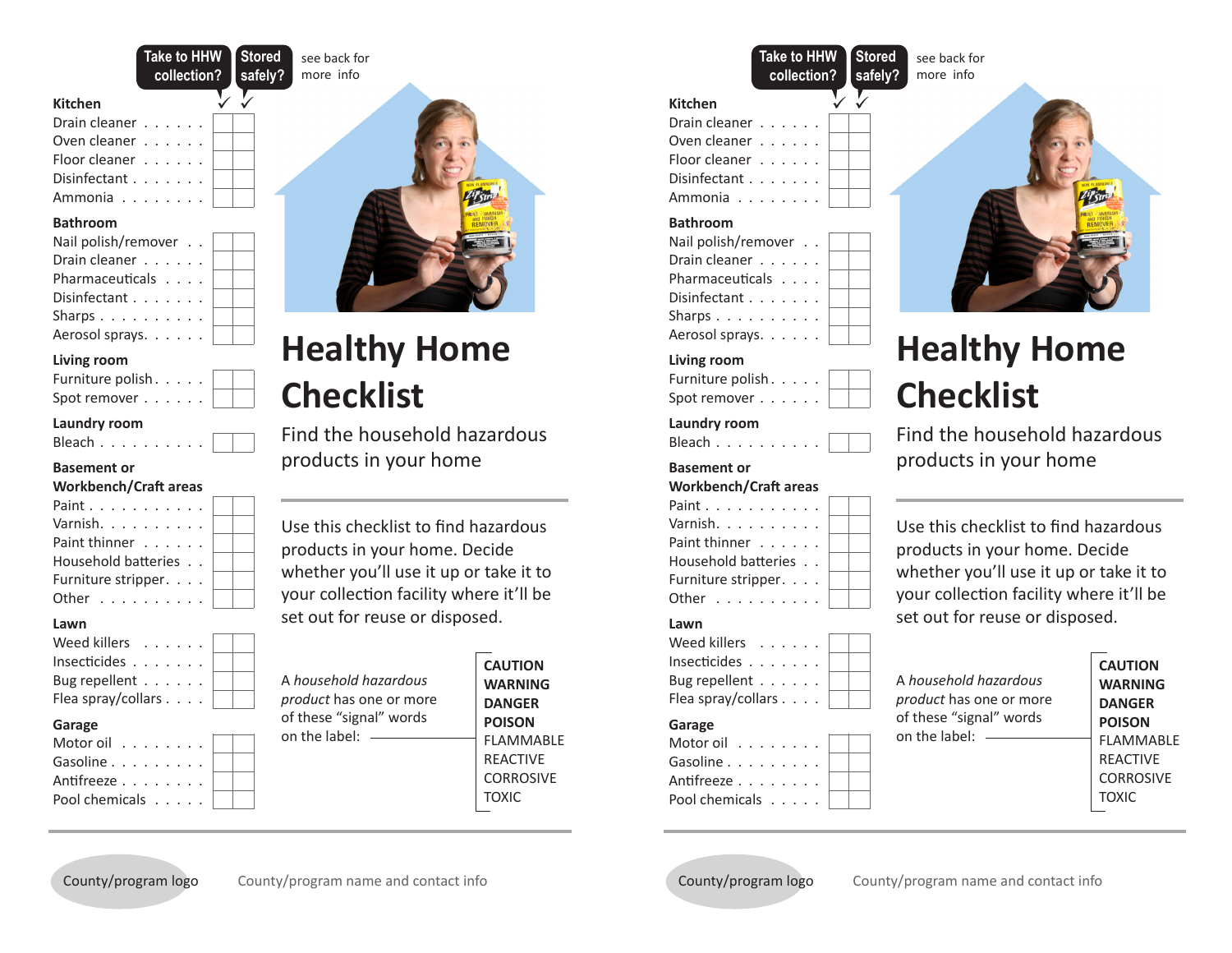**Take to HHW collection? Stored safely?**

> . . . . .

> . .

see back for

### **Kitchen**

| Drain cleaner                    |  |  |  |
|----------------------------------|--|--|--|
| Oven cleaner                     |  |  |  |
| Floor cleaner                    |  |  |  |
| Disinfectant $\ldots$ , $\ldots$ |  |  |  |

Ammonia . . . . . . . .

### **Bathroom**

| Nail polish/remover |  |
|---------------------|--|
| Drain cleaner       |  |
| Pharmaceuticals     |  |
| Disinfectant        |  |
| Sharps              |  |
| Aerosol sprays.     |  |

# **Living room**

| Furniture polish. |  |  |
|-------------------|--|--|
| Spot remover      |  |  |

# **Laundry room**

| Bleach |  |  |  |  |  |  |
|--------|--|--|--|--|--|--|
|        |  |  |  |  |  |  |

# **Basement or**

# **Workbench/Craft areas**

| Paint               |  |
|---------------------|--|
| Varnish.            |  |
| Paint thinner       |  |
| Household batteries |  |
| Furniture stripper. |  |
| Other               |  |
|                     |  |

## **Lawn**

| Weed killers                     |  |  |  |
|----------------------------------|--|--|--|
| Insecticides $\ldots$ $\ldots$ . |  |  |  |
| Bug repellent $\ldots$           |  |  |  |
| Flea spray/collars               |  |  |  |
| Garago                           |  |  |  |

## **Garage**

| Motor oil      |  |
|----------------|--|
| Gasoline       |  |
| Antifreeze     |  |
| Pool chemicals |  |
|                |  |



# **Healthy Home Checklist**

Find the household hazardous products in your home

Use this checklist to find hazardous products in your home. Decide whether you'll use it up or take it to your collection facility where it'll be set out for reuse or disposed.

| of these "signal" words<br><b>POISON</b><br>on the label: $-$<br><b>REACTIVE</b><br><b>TOXIC</b> | A household hazardous<br><i>product</i> has one or more | <b>CAUTION</b><br><b>WARNING</b><br><b>DANGER</b><br><b>FLAMMARLF</b><br><b>CORROSIVE</b> |
|--------------------------------------------------------------------------------------------------|---------------------------------------------------------|-------------------------------------------------------------------------------------------|
|--------------------------------------------------------------------------------------------------|---------------------------------------------------------|-------------------------------------------------------------------------------------------|

# **Kitchen Take to HHW collection?**

| Drain cleaner       |  |  |
|---------------------|--|--|
| Oven cleaner        |  |  |
| Floor cleaner       |  |  |
| Disinfectant        |  |  |
| Ammonia             |  |  |
| <b>Bathroom</b>     |  |  |
| Nail polish/remover |  |  |
| Drain cleaner       |  |  |
| Pharmaceuticals     |  |  |
| Disinfectant        |  |  |
| Sharps              |  |  |
| Aerosol sprays.     |  |  |
|                     |  |  |

. . **Stored**

see back for

.

**Living room** Furniture polish. . . . .

Spot remover . . . . . .

#### **Laundry room** Bleach . . . . . . . . .

# **Basement or**

#### **Workbench/Craft areas** Paint . . . . . . . . . . . Varnish. . . . . . . . . . Paint thinner . . . . . . Household batteries Furniture stripper. . . . Other . . . . . . . . . . . . . . . .

# **Lawn**

Weed killers . . . . . . Insecticides . . . . . . . Bug repellent . . . . . . Flea spray/collars . . . . **Garage** Motor oil . . . . . . . . Gasoline . . . . . . . . . . Antifreeze . . . . . . . . Pool chemicals . . . . . . . . . . . . .



# **Healthy Home Checklist**

Find the household hazardous products in your home

Use this checklist to find hazardous products in your home. Decide whether you'll use it up or take it to your collection facility where it'll be set out for reuse or disposed.

# A *household hazardous product* has one or more of these "signal" words on the label:

**CAUTION WARNING DANGER POISON** FLAMMABLE REACTIVE CORROSIVE TOXIC